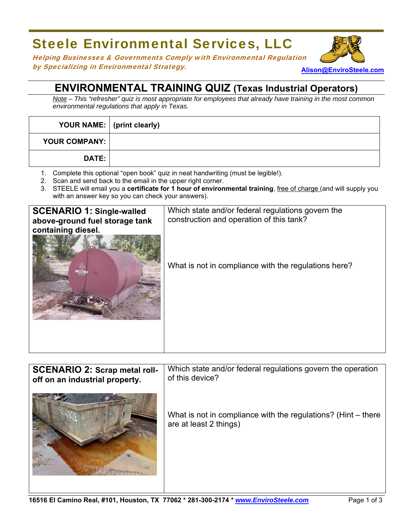## Steele Environmental Services, LLC

**Alison@EnviroSteele.com** Helping Businesses & Governments Comply with Environmental Regulation by Specializing in Environmental Strategy.

## **ENVIRONMENTAL TRAINING QUIZ (Texas Industrial Operators)**

*Note – This "refresher" quiz is most appropriate for employees that already have training in the most common environmental regulations that apply in Texas.* 

| YOUR NAME:   (print clearly) |  |
|------------------------------|--|
| YOUR COMPANY:                |  |
| <b>DATE:</b>                 |  |

- 1. Complete this optional "open book" quiz in neat handwriting (must be legible!).
- 2. Scan and send back to the email in the upper right corner.
- 3. STEELE will email you a **certificate for 1 hour of environmental training**, free of charge (and will supply you with an answer key so you can check your answers).

| <b>SCENARIO 1: Single-walled</b><br>above-ground fuel storage tank | Which state and/or federal regulations govern the<br>construction and operation of this tank? |
|--------------------------------------------------------------------|-----------------------------------------------------------------------------------------------|
| containing diesel.                                                 |                                                                                               |
| <b>PIESE</b>                                                       | What is not in compliance with the regulations here?                                          |
|                                                                    |                                                                                               |
|                                                                    |                                                                                               |
|                                                                    |                                                                                               |

| <b>SCENARIO 2: Scrap metal roll-</b> | Which state and/or federal regulations govern the operation                               |
|--------------------------------------|-------------------------------------------------------------------------------------------|
| off on an industrial property.       | of this device?                                                                           |
|                                      | What is not in compliance with the regulations? (Hint $-$ there<br>are at least 2 things) |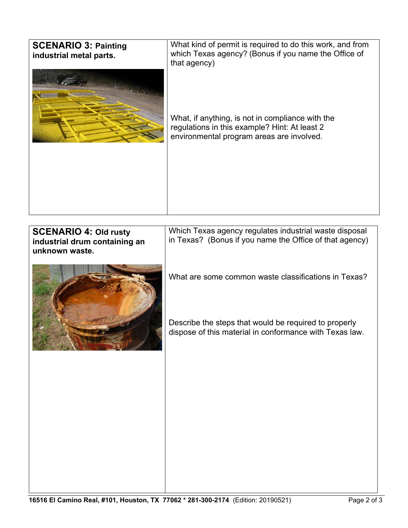| <b>SCENARIO 3: Painting</b><br>industrial metal parts.                          | What kind of permit is required to do this work, and from<br>which Texas agency? (Bonus if you name the Office of<br>that agency)<br>What, if anything, is not in compliance with the<br>regulations in this example? Hint: At least 2<br>environmental program areas are involved.           |
|---------------------------------------------------------------------------------|-----------------------------------------------------------------------------------------------------------------------------------------------------------------------------------------------------------------------------------------------------------------------------------------------|
|                                                                                 |                                                                                                                                                                                                                                                                                               |
| <b>SCENARIO 4: Old rusty</b><br>industrial drum containing an<br>unknown waste. | Which Texas agency regulates industrial waste disposal<br>in Texas? (Bonus if you name the Office of that agency)<br>What are some common waste classifications in Texas?<br>Describe the steps that would be required to properly<br>dispose of this material in conformance with Texas law. |